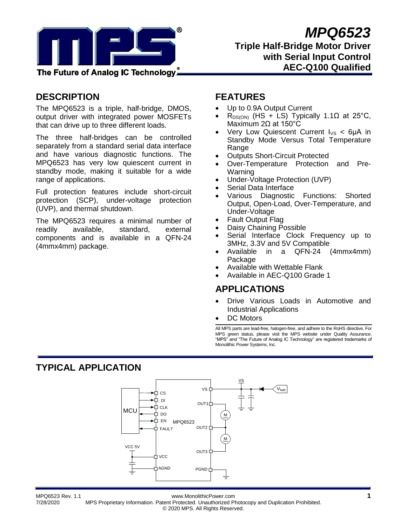

## **DESCRIPTION**

The MPQ6523 is a triple, half-bridge, DMOS, output driver with integrated power MOSFETs that can drive up to three different loads.

The three half-bridges can be controlled separately from a standard serial data interface and have various diagnostic functions. The MPQ6523 has very low quiescent current in standby mode, making it suitable for a wide range of applications.

Full protection features include short-circuit protection (SCP), under-voltage protection (UVP), and thermal shutdown.

The MPQ6523 requires a minimal number of readily available, standard, external components and is available in a QFN-24 (4mmx4mm) package.

## **FEATURES**

- Up to 0.9A Output Current
- $R_{DS(ON)}$  (HS + LS) Typically 1.1 $\Omega$  at 25°C, Maximum 2Ω at 150°C
- Very Low Quiescent Current  $I_{VS}$  < 6µA in Standby Mode Versus Total Temperature Range
- Outputs Short-Circuit Protected
- Over-Temperature Protection and Pre-Warning
- Under-Voltage Protection (UVP)
- Serial Data Interface
- Various Diagnostic Functions: Shorted Output, Open-Load, Over-Temperature, and Under-Voltage
- Fault Output Flag
- Daisy Chaining Possible
- Serial Interface Clock Frequency up to 3MHz, 3.3V and 5V Compatible
- Available in a QFN-24 (4mmx4mm) **Package**
- Available with Wettable Flank
- Available in AEC-Q100 Grade 1

## **APPLICATIONS**

- Drive Various Loads in Automotive and Industrial Applications
- DC Motors

All MPS parts are lead-free, halogen-free, and adhere to the RoHS directive. For MPS green status, please visit the MPS website under Quality Assurance. "MPS" and "The Future of Analog IC Technology" are registered trademarks of Monolithic Power Systems, Inc.

# **TYPICAL APPLICATION**



MPQ6523 Rev. 1.1 www.MonolithicPower.com **1**

7/28/2020 MPS Proprietary Information. Patent Protected. Unauthorized Photocopy and Duplication Prohibited. © 2020 MPS. All Rights Reserved.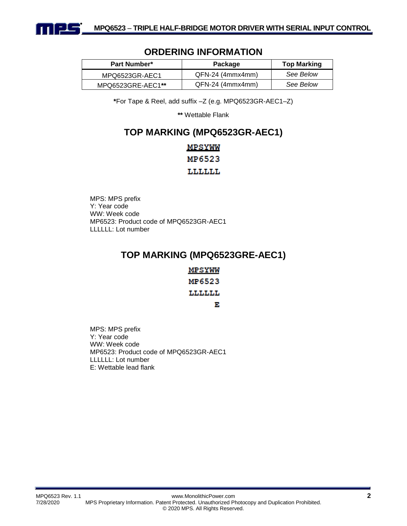

# **Part Number\* Package Top Marking** MPQ6523GR-AEC1 QFN-24 (4mmx4mm) *See Below* MPQ6523GRE-AEC1**\*\*** QFN-24 (4mmx4mm) *See Below*

## **ORDERING INFORMATION**

**\***For Tape & Reel, add suffix –Z (e.g. MPQ6523GR-AEC1–Z)

**\*\*** Wettable Flank

## **TOP MARKING (MPQ6523GR-AEC1)**

## MPSYWW MP6523 LLLLLL

MPS: MPS prefix Y: Year code WW: Week code MP6523: Product code of MPQ6523GR-AEC1 LLLLLL: Lot number

# **TOP MARKING (MPQ6523GRE-AEC1)**

| <u>MPSYWW</u> |
|---------------|
| MP6523        |
| LLLLLL        |
| ъ             |

MPS: MPS prefix Y: Year code WW: Week code MP6523: Product code of MPQ6523GR-AEC1 LLLLLL: Lot number E: Wettable lead flank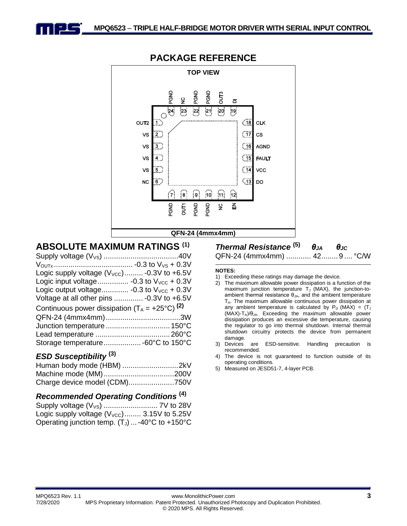



## **PACKAGE REFERENCE**

# **ABSOLUTE MAXIMUM RATINGS (1)**

| Logic supply voltage $(V_{\text{VCC}})$ -0.3V to +6.5V    |  |
|-----------------------------------------------------------|--|
| Logic input voltage -0.3 to $V_{VCC}$ + 0.3V              |  |
| Logic output voltage -0.3 to $V_{VCC}$ + 0.3V             |  |
| Voltage at all other pins  - 0.3V to +6.5V                |  |
| Continuous power dissipation $(T_A = +25^{\circ}C)^{(2)}$ |  |
|                                                           |  |
| Junction temperature  150°C                               |  |
|                                                           |  |
| Storage temperature -60°C to 150°C                        |  |
|                                                           |  |

## *ESD Susceptibility* **(3)**

## *Recommended Operating Conditions* **(4)**

| Logic supply voltage $(V_{\text{VCC}})$ 3.15V to 5.25V |  |
|--------------------------------------------------------|--|
| Operating junction temp. $(T_J)$ -40°C to +150°C       |  |

*Thermal Resistance* **(5)** *θJA θJC* QFN-24 (4mmx4mm) ............ 42........9 .... °C/W

#### **NOTES:**

- 1) Exceeding these ratings may damage the device.
- 2) The maximum allowable power dissipation is a function of the maximum junction temperature  $T_J$  (MAX), the junction-toambient thermal resistance  $\theta_{JA}$ , and the ambient temperature  $T_A$ . The maximum allowable continuous power dissipation at any ambient temperature is calculated by  $P_D$  (MAX) = (T<sub>J</sub>  $(MAX)-T_A)/\theta_{JA}$ . Exceeding the maximum allowable power dissipation produces an excessive die temperature, causing the regulator to go into thermal shutdown. Internal thermal shutdown circuitry protects the device from permanent
- damage.<br>Devices 3) Devices are ESD-sensitive. Handling precaution is recommended.
- 4) The device is not guaranteed to function outside of its operating conditions.
- 5) Measured on JESD51-7, 4-layer PCB.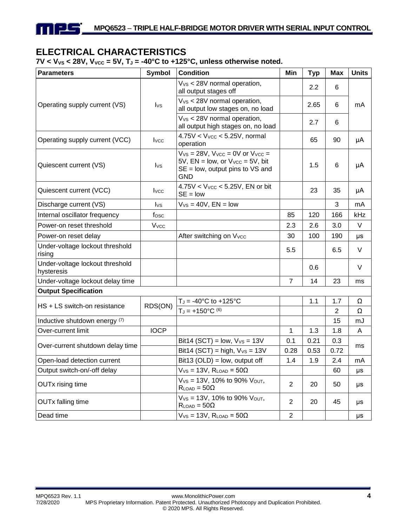# **ELECTRICAL CHARACTERISTICS**

<u>| 21 – </u>

 $7V < V_{VS} < 28V$ ,  $V_{VCC} = 5V$ ,  $T_J = -40^{\circ}C$  to  $+125^{\circ}C$ , unless otherwise noted.

| <b>Parameters</b>                             | <b>Symbol</b>           | <b>Condition</b>                                                                                                                               | Min            | <b>Typ</b> | <b>Max</b>     | <b>Units</b> |
|-----------------------------------------------|-------------------------|------------------------------------------------------------------------------------------------------------------------------------------------|----------------|------------|----------------|--------------|
|                                               |                         | V <sub>vs</sub> < 28V normal operation,<br>all output stages off                                                                               |                | 2.2        | 6              |              |
| Operating supply current (VS)                 | $I_{\text{VS}}$         | V <sub>vs</sub> < 28V normal operation,<br>all output low stages on, no load                                                                   |                | 2.65       | 6              | mA           |
|                                               |                         | $V_{VS}$ < 28V normal operation,<br>all output high stages on, no load                                                                         |                | 2.7        | 6              |              |
| Operating supply current (VCC)                | I <sub>VC</sub>         | $4.75V < V_{VCC} < 5.25V$ , normal<br>operation                                                                                                |                | 65         | 90             | μA           |
| Quiescent current (VS)                        | $I_{\text{VS}}$         | $V_{VS}$ = 28V, $V_{VCC}$ = 0V or $V_{VCC}$ =<br>$5V$ , EN = low, or $V_{VCC}$ = 5V, bit<br>$SE = low$ , output pins to $VS$ and<br><b>GND</b> |                | 1.5        | 6              | μA           |
| Quiescent current (VCC)                       | <b>I</b> vcc            | $4.75V < VVCC < 5.25V$ , EN or bit<br>$SE = low$                                                                                               |                | 23         | 35             | μA           |
| Discharge current (VS)                        | $I_{\text{VS}}$         | $V_{VS} = 40V$ , $EN = low$                                                                                                                    |                |            | 3              | mA           |
| Internal oscillator frequency                 | fosc                    |                                                                                                                                                | 85             | 120        | 166            | kHz          |
| Power-on reset threshold                      | <b>V</b> <sub>vcc</sub> |                                                                                                                                                | 2.3            | 2.6        | 3.0            | V            |
| Power-on reset delay                          |                         | After switching on Vvcc                                                                                                                        | 30             | 100        | 190            | μs           |
| Under-voltage lockout threshold<br>rising     |                         |                                                                                                                                                | 5.5            |            | 6.5            | V            |
| Under-voltage lockout threshold<br>hysteresis |                         |                                                                                                                                                |                | 0.6        |                | V            |
| Under-voltage lockout delay time              |                         |                                                                                                                                                | $\overline{7}$ | 14         | 23             | ms           |
| <b>Output Specification</b>                   |                         |                                                                                                                                                |                |            |                |              |
| HS + LS switch-on resistance                  | RDS(ON)                 | $T_J = -40^{\circ}C$ to $+125^{\circ}C$                                                                                                        |                | 1.1        | 1.7            | Ω            |
|                                               |                         | $T_J = +150^{\circ}C^{(6)}$                                                                                                                    |                |            | $\overline{c}$ | Ω            |
| Inductive shutdown energy (7)                 |                         |                                                                                                                                                |                |            | 15             | mJ           |
| Over-current limit                            | <b>IOCP</b>             |                                                                                                                                                | 1              | 1.3        | 1.8            | A            |
| Over-current shutdown delay time              |                         | Bit14 (SCT) = $low, VVS = 13V$                                                                                                                 | 0.1            | 0.21       | 0.3            | ms           |
|                                               |                         | Bit14 (SCT) = high, $V_{VS}$ = 13V                                                                                                             | 0.28           | 0.53       | 0.72           |              |
| Open-load detection current                   |                         | Bit13 ( $OLD$ ) = low, output off                                                                                                              | 1.4            | 1.9        | 2.4            | mA           |
| Output switch-on/-off delay                   |                         | $V_{VS} = 13V$ , $R_{LOAD} = 50\Omega$                                                                                                         |                |            | 60             | μs           |
| <b>OUTx rising time</b>                       |                         | $V_{VS}$ = 13V, 10% to 90% $V_{OUT}$ ,<br>$R_{LOAD} = 50\Omega$                                                                                | $\overline{2}$ | 20         | 50             | μs           |
| <b>OUTx falling time</b>                      |                         | $V_{VS} = 13V$ , 10% to 90% $V_{OUT}$ ,<br>$R_{LOAD} = 50\Omega$                                                                               | $\overline{2}$ | 20         | 45             | μs           |
| Dead time                                     |                         | $V_{VS} = 13V$ , $R_{LOAD} = 50\Omega$                                                                                                         | $\overline{2}$ |            |                | μs           |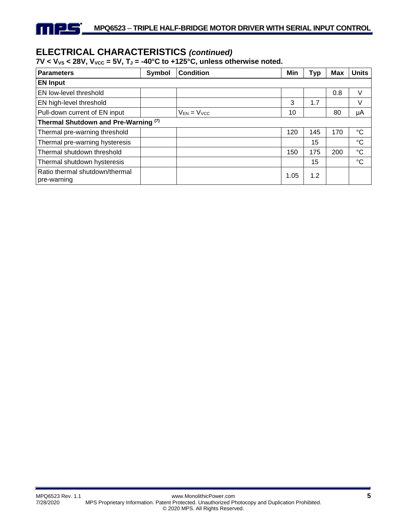# **ELECTRICAL CHARACTERISTICS** *(continued)*

T | 25

## $7V < V_{VS} < 28V$ ,  $V_{VCC} = 5V$ ,  $T_J = -40^{\circ}C$  to  $+125^{\circ}C$ , unless otherwise noted.

| <b>Parameters</b>                             | Symbol | <b>Condition</b>   | Min  | <b>Typ</b> | <b>Max</b> | <b>Units</b>    |  |
|-----------------------------------------------|--------|--------------------|------|------------|------------|-----------------|--|
| <b>EN Input</b>                               |        |                    |      |            |            |                 |  |
| EN low-level threshold                        |        |                    |      |            | 0.8        | V               |  |
| EN high-level threshold                       |        |                    | 3    | 1.7        |            | V               |  |
| Pull-down current of EN input                 |        | $V_{EN} = V_{VCC}$ | 10   |            | 80         | μA              |  |
| Thermal Shutdown and Pre-Warning (7)          |        |                    |      |            |            |                 |  |
| Thermal pre-warning threshold                 |        |                    | 120  | 145        | 170        | °C              |  |
| Thermal pre-warning hysteresis                |        |                    |      | 15         |            | $\rm ^{\circ}C$ |  |
| Thermal shutdown threshold                    |        |                    | 150  | 175        | 200        | $^{\circ}C$     |  |
| Thermal shutdown hysteresis                   |        |                    |      | 15         |            | $^{\circ}C$     |  |
| Ratio thermal shutdown/thermal<br>pre-warning |        |                    | 1.05 | 1.2        |            |                 |  |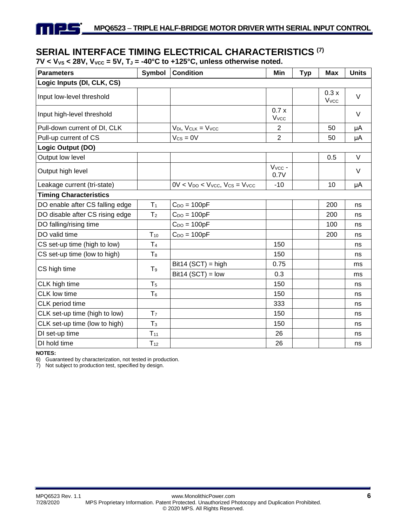# **SERIAL INTERFACE TIMING ELECTRICAL CHARACTERISTICS (7)**

 $7V < V_{VS} < 28V$ ,  $V_{VCC} = 5V$ ,  $T_J = -40^{\circ}C$  to  $+125^{\circ}C$ , unless otherwise noted.

| <b>Parameters</b>               | Symbol         | <b>Condition</b>                             | Min                      | <b>Typ</b> | <b>Max</b>           | <b>Units</b> |
|---------------------------------|----------------|----------------------------------------------|--------------------------|------------|----------------------|--------------|
| Logic Inputs (DI, CLK, CS)      |                |                                              |                          |            |                      |              |
| Input low-level threshold       |                |                                              |                          |            | 0.3x<br><b>V</b> vcc | $\vee$       |
| Input high-level threshold      |                |                                              | 0.7x<br>V <sub>VCC</sub> |            |                      | $\vee$       |
| Pull-down current of DI, CLK    |                | $V_{DI}$ , $V_{CLK} = V_{VCC}$               | $\overline{2}$           |            | 50                   | μA           |
| Pull-up current of CS           |                | $V_{CS} = 0V$                                | $\overline{2}$           |            | 50                   | μA           |
| Logic Output (DO)               |                |                                              |                          |            |                      |              |
| Output low level                |                |                                              |                          |            | 0.5                  | $\vee$       |
| Output high level               |                |                                              | $V_{VCC}$ -<br>0.7V      |            |                      | $\vee$       |
| Leakage current (tri-state)     |                | $0V < V_{DO} < V_{VCC}$ , $V_{CS} = V_{VCC}$ | $-10$                    |            | 10                   | μA           |
| <b>Timing Characteristics</b>   |                |                                              |                          |            |                      |              |
| DO enable after CS falling edge | T <sub>1</sub> | $C_{DO} = 100pF$                             |                          |            | 200                  | ns           |
| DO disable after CS rising edge | T <sub>2</sub> | $C_{DO} = 100pF$                             |                          |            | 200                  | ns           |
| DO falling/rising time          |                | $C_{DO} = 100pF$                             |                          |            | 100                  | ns           |
| DO valid time                   | $T_{10}$       | $C_{DO} = 100pF$                             |                          |            | 200                  | ns           |
| CS set-up time (high to low)    | T <sub>4</sub> |                                              | 150                      |            |                      | ns           |
| CS set-up time (low to high)    | T <sub>8</sub> |                                              | 150                      |            |                      | ns           |
| CS high time                    | T <sub>9</sub> | $Bit14 (SCT) = high$                         | 0.75                     |            |                      | ms           |
|                                 |                | $Bit14 (SCT) = low$                          | 0.3                      |            |                      | ms           |
| CLK high time                   | T <sub>5</sub> |                                              | 150                      |            |                      | ns           |
| <b>CLK</b> low time             | T <sub>6</sub> |                                              | 150                      |            |                      | ns           |
| CLK period time                 |                |                                              | 333                      |            |                      | ns           |
| CLK set-up time (high to low)   | T <sub>7</sub> |                                              | 150                      |            |                      | ns           |
| CLK set-up time (low to high)   | $T_3$          |                                              | 150                      |            |                      | ns           |
| DI set-up time                  | $T_{11}$       |                                              | 26                       |            |                      | ns           |
| DI hold time                    | $T_{12}$       |                                              | 26                       |            |                      | ns           |

**NOTES:**

 $\Box$ 

6) Guaranteed by characterization, not tested in production.

7) Not subject to production test, specified by design.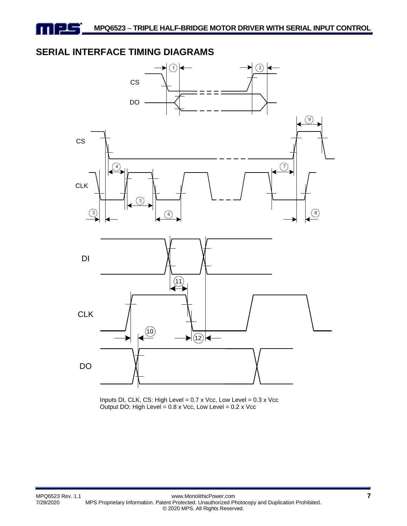# **SERIAL INTERFACE TIMING DIAGRAMS**



Inputs DI, CLK, CS: High Level = 0.7 x Vcc, Low Level = 0.3 x Vcc Output DO: High Level =  $0.8 \times$  Vcc, Low Level =  $0.2 \times$  Vcc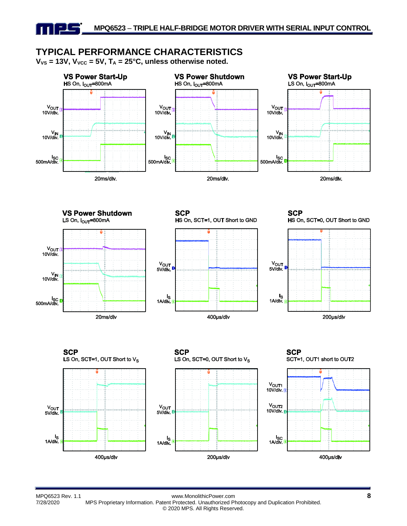# **TYPICAL PERFORMANCE CHARACTERISTICS**

 $V_{VS}$  = 13V,  $V_{VCC}$  = 5V,  $T_A$  = 25°C, unless otherwise noted.

<u>-15</u>



400µs/div

MPQ6523 Rev. 1.1 www.MonolithicPower.com **8** 7/28/2020 MPS Proprietary Information. Patent Protected. Unauthorized Photocopy and Duplication Prohibited. © 2020 MPS. All Rights Reserved.

200µs/div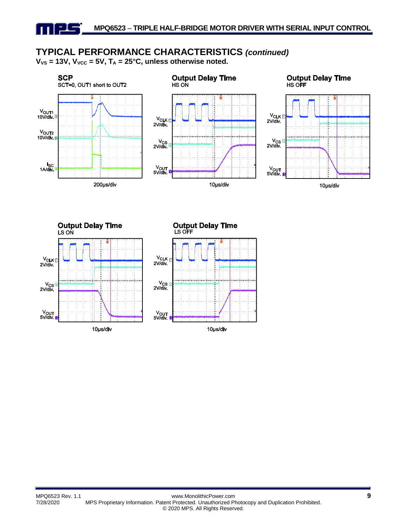# **TYPICAL PERFORMANCE CHARACTERISTICS** *(continued)*

 $V_{VS}$  = 13V,  $V_{VCC}$  = 5V,  $T_A$  = 25°C, unless otherwise noted.

ᆜ



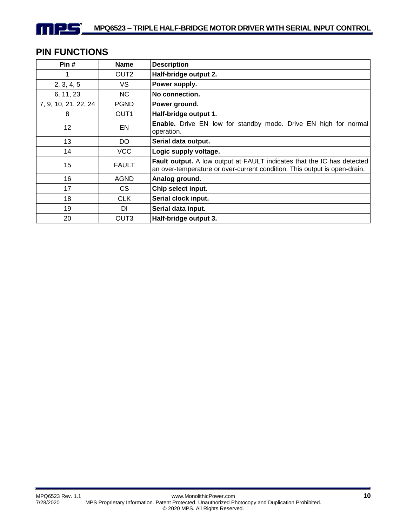# **PIN FUNCTIONS**

n 125

| Pin#                 | <b>Name</b>      | <b>Description</b>                                                                                                                                         |
|----------------------|------------------|------------------------------------------------------------------------------------------------------------------------------------------------------------|
|                      | OUT <sub>2</sub> | Half-bridge output 2.                                                                                                                                      |
| 2, 3, 4, 5           | VS.              | Power supply.                                                                                                                                              |
| 6, 11, 23            | NC.              | No connection.                                                                                                                                             |
| 7, 9, 10, 21, 22, 24 | <b>PGND</b>      | Power ground.                                                                                                                                              |
| 8                    | OUT <sub>1</sub> | Half-bridge output 1.                                                                                                                                      |
| 12                   | EN               | <b>Enable.</b> Drive EN low for standby mode. Drive EN high for normal<br>operation.                                                                       |
| 13                   | DO.              | Serial data output.                                                                                                                                        |
| 14                   | <b>VCC</b>       | Logic supply voltage.                                                                                                                                      |
| 15                   | <b>FAULT</b>     | <b>Fault output.</b> A low output at FAULT indicates that the IC has detected<br>an over-temperature or over-current condition. This output is open-drain. |
| 16                   | <b>AGND</b>      | Analog ground.                                                                                                                                             |
| 17                   | CS.              | Chip select input.                                                                                                                                         |
| 18                   | <b>CLK</b>       | Serial clock input.                                                                                                                                        |
| 19                   | DI               | Serial data input.                                                                                                                                         |
| 20                   | OUT <sub>3</sub> | Half-bridge output 3.                                                                                                                                      |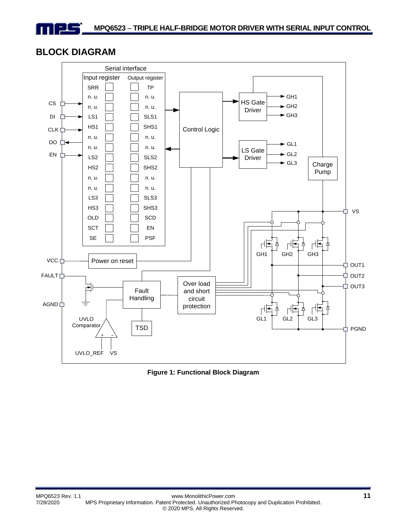## **BLOCK DIAGRAM**



**Figure 1: Functional Block Diagram**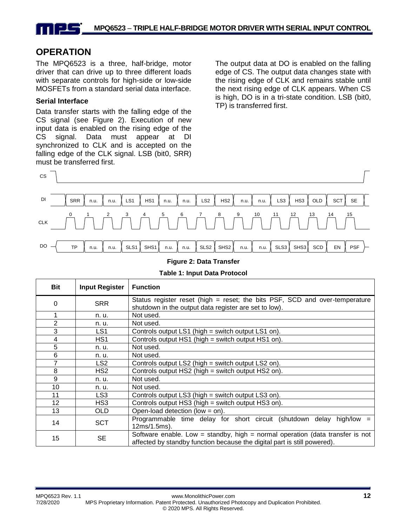# **OPERATION**

The MPQ6523 is a three, half-bridge, motor driver that can drive up to three different loads with separate controls for high-side or low-side MOSFETs from a standard serial data interface.

### **Serial Interface**

Data transfer starts with the falling edge of the CS signal (see Figure 2). Execution of new input data is enabled on the rising edge of the CS signal. Data must appear at DI synchronized to CLK and is accepted on the falling edge of the CLK signal. LSB (bit0, SRR) must be transferred first.

The output data at DO is enabled on the falling edge of CS. The output data changes state with the rising edge of CLK and remains stable until the next rising edge of CLK appears. When CS is high, DO is in a tri-state condition. LSB (bit0, TP) is transferred first.



#### **Figure 2: Data Transfer**

| <b>Bit</b>     | <b>Input Register</b> | <b>Function</b>                                                                                                                                           |
|----------------|-----------------------|-----------------------------------------------------------------------------------------------------------------------------------------------------------|
| 0              | <b>SRR</b>            | Status register reset (high = reset; the bits PSF, SCD and over-temperature<br>shutdown in the output data register are set to low).                      |
|                | n. u.                 | Not used.                                                                                                                                                 |
| $\overline{2}$ | n. u.                 | Not used.                                                                                                                                                 |
| 3              | LS1                   | Controls output LS1 (high = switch output LS1 on).                                                                                                        |
| 4              | HS1                   | Controls output HS1 (high = switch output HS1 on).                                                                                                        |
| 5              | n. u.                 | Not used.                                                                                                                                                 |
| 6              | n. u.                 | Not used.                                                                                                                                                 |
| 7              | LS2                   | Controls output LS2 (high = switch output LS2 on).                                                                                                        |
| 8              | HS2                   | Controls output HS2 (high = switch output HS2 on).                                                                                                        |
| 9              | n. u.                 | Not used.                                                                                                                                                 |
| 10             | n. u.                 | Not used.                                                                                                                                                 |
| 11             | LS3                   | Controls output LS3 (high = switch output LS3 on).                                                                                                        |
| 12             | HS3                   | Controls output HS3 (high = switch output HS3 on).                                                                                                        |
| 13             | OLD                   | Open-load detection (low = on).                                                                                                                           |
| 14             | <b>SCT</b>            | Programmable time delay for short circuit (shutdown delay high/low<br>$=$<br>12ms/1.5ms).                                                                 |
| 15             | <b>SE</b>             | Software enable. Low = standby, high = normal operation (data transfer is not<br>affected by standby function because the digital part is still powered). |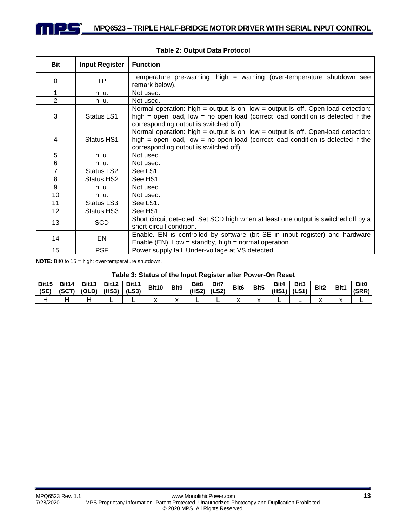| Bit            | <b>Input Register</b> | <b>Function</b>                                                                                                                                                                                                   |
|----------------|-----------------------|-------------------------------------------------------------------------------------------------------------------------------------------------------------------------------------------------------------------|
| $\Omega$       | <b>TP</b>             | Temperature pre-warning: high = warning (over-temperature shutdown see<br>remark below).                                                                                                                          |
| $\mathbf 1$    | n. u.                 | Not used.                                                                                                                                                                                                         |
| $\overline{2}$ | n. u.                 | Not used.                                                                                                                                                                                                         |
| 3              | Status LS1            | Normal operation: high = output is on, low = output is off. Open-load detection:<br>high = open load, low = no open load (correct load condition is detected if the<br>corresponding output is switched off).     |
| 4              | Status HS1            | Normal operation: high = output is on, low = output is off. Open-load detection:<br>high $=$ open load, low $=$ no open load (correct load condition is detected if the<br>corresponding output is switched off). |
| 5              | n. u.                 | Not used.                                                                                                                                                                                                         |
| 6              | n. u.                 | Not used.                                                                                                                                                                                                         |
| $\overline{7}$ | Status LS2            | See LS1.                                                                                                                                                                                                          |
| 8              | Status HS2            | See HS1.                                                                                                                                                                                                          |
| 9              | n. u.                 | Not used.                                                                                                                                                                                                         |
| 10             | n. u.                 | Not used.                                                                                                                                                                                                         |
| 11             | Status LS3            | See LS1.                                                                                                                                                                                                          |
| 12             | Status HS3            | See HS1.                                                                                                                                                                                                          |
| 13             | <b>SCD</b>            | Short circuit detected. Set SCD high when at least one output is switched off by a<br>short-circuit condition.                                                                                                    |
| 14             | EN                    | Enable. EN is controlled by software (bit SE in input register) and hardware<br>Enable (EN). Low = standby, high = normal operation.                                                                              |
| 15             | <b>PSF</b>            | Power supply fail. Under-voltage at VS detected.                                                                                                                                                                  |

#### **Table 2: Output Data Protocol**

**NOTE:** Bit0 to 15 = high: over-temperature shutdown.

#### **Table 3: Status of the Input Register after Power-On Reset**

| <b>Bit15</b><br>(SE) | Bit14 | Bit13<br>(SCT)   (OLD)   (HS3) | Bit12 | Bit11<br>(LS3) | <b>Bit10</b> | Bit <sub>9</sub> | Bit <sub>8</sub><br>$(HS2)$ (LS2) | Bit7 | Bit <sub>6</sub> | Bit <sub>5</sub> | Bit4<br>$(HS1)$ (LS1) | Bit3 | Bit <sub>2</sub> | Bit1 | Bit <sub>0</sub><br>(SRR) |
|----------------------|-------|--------------------------------|-------|----------------|--------------|------------------|-----------------------------------|------|------------------|------------------|-----------------------|------|------------------|------|---------------------------|
|                      |       |                                |       |                |              |                  |                                   |      |                  |                  |                       |      |                  |      |                           |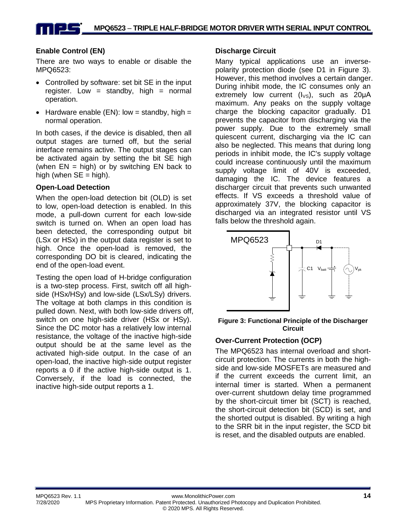### **Enable Control (EN)**

There are two ways to enable or disable the MPQ6523:

- Controlled by software: set bit SE in the input register. Low = standby, high = normal operation.
- Hardware enable  $(EN)$ : low = standby, high = normal operation.

In both cases, if the device is disabled, then all output stages are turned off, but the serial interface remains active. The output stages can be activated again by setting the bit SE high (when  $EN = high$ ) or by switching  $EN$  back to high (when  $SE = high$ ).

#### **Open-Load Detection**

When the open-load detection bit (OLD) is set to low, open-load detection is enabled. In this mode, a pull-down current for each low-side switch is turned on. When an open load has been detected, the corresponding output bit (LSx or HSx) in the output data register is set to high. Once the open-load is removed, the corresponding DO bit is cleared, indicating the end of the open-load event.

Testing the open load of H-bridge configuration is a two-step process. First, switch off all highside (HSx/HSy) and low-side (LSx/LSy) drivers. The voltage at both clamps in this condition is pulled down. Next, with both low-side drivers off, switch on one high-side driver (HSx or HSy). Since the DC motor has a relatively low internal resistance, the voltage of the inactive high-side output should be at the same level as the activated high-side output. In the case of an open-load, the inactive high-side output register reports a 0 if the active high-side output is 1. Conversely, if the load is connected, the inactive high-side output reports a 1.

#### **Discharge Circuit**

Many typical applications use an inversepolarity protection diode (see D1 in Figure 3). However, this method involves a certain danger. During inhibit mode, the IC consumes only an extremely low current  $(I_{\vee s})$ , such as 20µA maximum. Any peaks on the supply voltage charge the blocking capacitor gradually. D1 prevents the capacitor from discharging via the power supply. Due to the extremely small quiescent current, discharging via the IC can also be neglected. This means that during long periods in inhibit mode, the IC's supply voltage could increase continuously until the maximum supply voltage limit of 40V is exceeded, damaging the IC. The device features a discharger circuit that prevents such unwanted effects. If VS exceeds a threshold value of approximately 37V, the blocking capacitor is discharged via an integrated resistor until VS falls below the threshold again.



#### **Figure 3: Functional Principle of the Discharger Circuit**

#### **Over-Current Protection (OCP)**

The MPQ6523 has internal overload and shortcircuit protection. The currents in both the highside and low-side MOSFETs are measured and if the current exceeds the current limit, an internal timer is started. When a permanent over-current shutdown delay time programmed by the short-circuit timer bit (SCT) is reached, the short-circuit detection bit (SCD) is set, and the shorted output is disabled. By writing a high to the SRR bit in the input register, the SCD bit is reset, and the disabled outputs are enabled.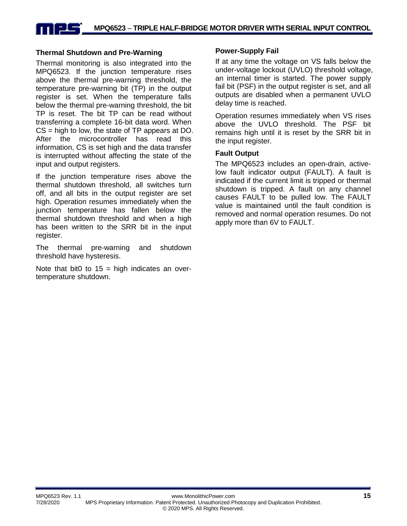## **MPQ6523** *–* **TRIPLE HALF-BRIDGE MOTOR DRIVER WITH SERIAL INPUT CONTROL**

#### **Thermal Shutdown and Pre-Warning**

Thermal monitoring is also integrated into the MPQ6523. If the junction temperature rises above the thermal pre-warning threshold, the temperature pre-warning bit (TP) in the output register is set. When the temperature falls below the thermal pre-warning threshold, the bit TP is reset. The bit TP can be read without transferring a complete 16-bit data word. When CS = high to low, the state of TP appears at DO. After the microcontroller has read this information. CS is set high and the data transfer is interrupted without affecting the state of the input and output registers.

If the junction temperature rises above the thermal shutdown threshold, all switches turn off, and all bits in the output register are set high. Operation resumes immediately when the junction temperature has fallen below the thermal shutdown threshold and when a high has been written to the SRR bit in the input register.

The thermal pre-warning and shutdown threshold have hysteresis.

Note that bit0 to  $15 =$  high indicates an overtemperature shutdown.

#### **Power-Supply Fail**

If at any time the voltage on VS falls below the under-voltage lockout (UVLO) threshold voltage, an internal timer is started. The power supply fail bit (PSF) in the output register is set, and all outputs are disabled when a permanent UVLO delay time is reached.

Operation resumes immediately when VS rises above the UVLO threshold. The PSF bit remains high until it is reset by the SRR bit in the input register.

#### **Fault Output**

The MPQ6523 includes an open-drain, activelow fault indicator output (FAULT). A fault is indicated if the current limit is tripped or thermal shutdown is tripped. A fault on any channel causes FAULT to be pulled low. The FAULT value is maintained until the fault condition is removed and normal operation resumes. Do not apply more than 6V to FAULT.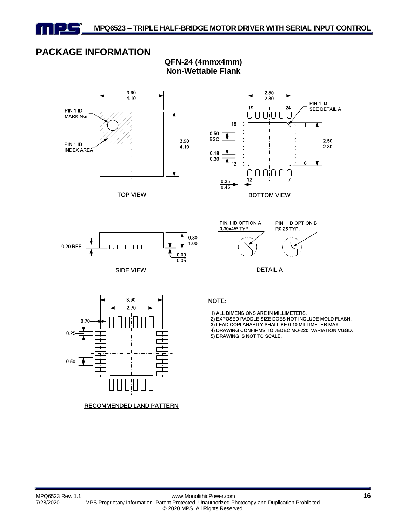

PIN 1 ID MARKING

PIN 1 ID INDEX AREA

# **PACKAGE INFORMATION**



3.90

**QFN-24 (4mmx4mm) Non-Wettable Flank**





TOP VIEW

SIDE VIEW





- 1) ALL DIMENSIONS ARE IN MILLIMETERS.
- 2) EXPOSED PADDLE SIZE DOES NOT INCLUDE MOLD FLASH.
- 3) LEAD COPLANARITY SHALL BE 0.10 MILLIMETER MAX.
- 4) DRAWING CONFIRMS TO JEDEC MO-220, VARIATION VGGD.
- 5) DRAWING IS NOT TO SCALE.



RECOMMENDED LAND PATTERN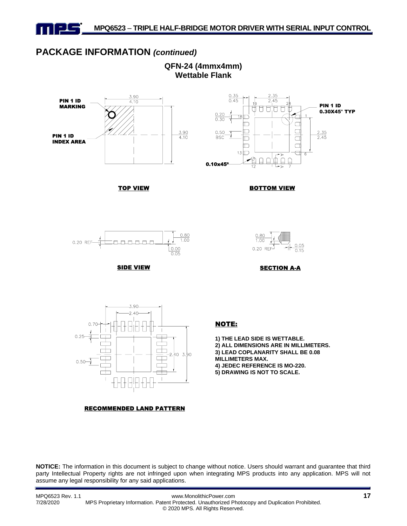

## **PACKAGE INFORMATION** *(continued)*

**QFN-24 (4mmx4mm) Wettable Flank**



TOP VIEW



BOTTOM VIEW



SIDE VIEW



SECTION A-A



#### RECOMMENDED LAND PATTERN

#### NOTE:

**1) THE LEAD SIDE IS WETTABLE.**

**2) ALL DIMENSIONS ARE IN MILLIMETERS. 3) LEAD COPLANARITY SHALL BE 0.08 MILLIMETERS MAX.**

**4) JEDEC REFERENCE IS MO-220. 5) DRAWING IS NOT TO SCALE.**

**NOTICE:** The information in this document is subject to change without notice. Users should warrant and guarantee that third party Intellectual Property rights are not infringed upon when integrating MPS products into any application. MPS will not assume any legal responsibility for any said applications.